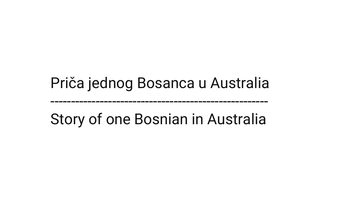# Priča jednog Bosanca u Australia

Story of one Bosnian in Australia

-----------------------------------------------------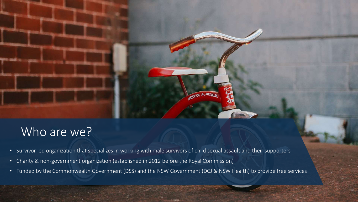

## Who are we?

- Survivor led organization that specializes in working with male survivors of child sexual assault and their supporters
- Charity & non-government organization (established in 2012 before the Royal Commission)
- Funded by the Commonwealth Government (DSS) and the NSW Government (DCJ & NSW Health) to provide free services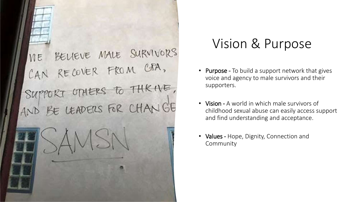

# Vision & Purpose

- **Purpose -** To build a support network that gives voice and agency to male survivors and their supporters.
- Vision A world in which male survivors of childhood sexual abuse can easily access support and find understanding and acceptance.
- Values Hope, Dignity, Connection and Community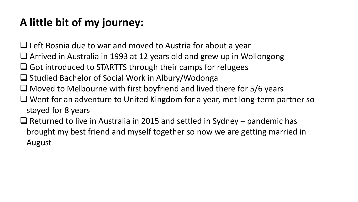## **A little bit of my journey:**

■ Left Bosnia due to war and moved to Austria for about a year

- ❑ Arrived in Australia in 1993 at 12 years old and grew up in Wollongong
- $\Box$  Got introduced to STARTTS through their camps for refugees
- ❑ Studied Bachelor of Social Work in Albury/Wodonga
- ❑ Moved to Melbourne with first boyfriend and lived there for 5/6 years
- ❑ Went for an adventure to United Kingdom for a year, met long-term partner so stayed for 8 years
- $\Box$  Returned to live in Australia in 2015 and settled in Sydney pandemic has brought my best friend and myself together so now we are getting married in August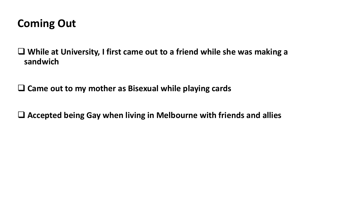#### **Coming Out**

❑ **While at University, I first came out to a friend while she was making a sandwich**

❑ **Came out to my mother as Bisexual while playing cards** 

❑ **Accepted being Gay when living in Melbourne with friends and allies**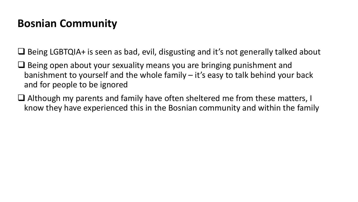### **Bosnian Community**

❑ Being LGBTQIA+ is seen as bad, evil, disgusting and it's not generally talked about

- ❑ Being open about your sexuality means you are bringing punishment and banishment to yourself and the whole family – it's easy to talk behind your back and for people to be ignored
- ❑ Although my parents and family have often sheltered me from these matters, I know they have experienced this in the Bosnian community and within the family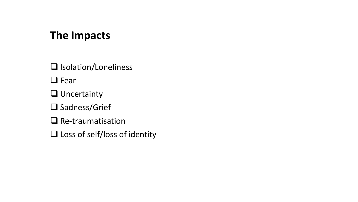#### **The Impacts**

❑ Isolation/Loneliness

❑ Fear

❑ Uncertainty

❑ Sadness/Grief

❑ Re-traumatisation

❑ Loss of self/loss of identity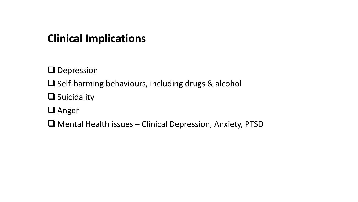#### **Clinical Implications**

❑ Depression

❑ Self-harming behaviours, including drugs & alcohol

❑ Suicidality

❑ Anger

❑ Mental Health issues – Clinical Depression, Anxiety, PTSD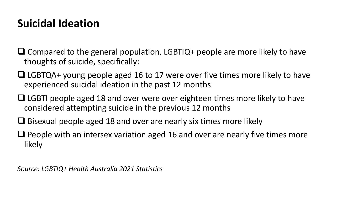#### **Suicidal Ideation**

- ❑ Compared to the general population, LGBTIQ+ people are more likely to have thoughts of suicide, specifically:
- ❑ LGBTQA+ young people aged 16 to 17 were over five times more likely to have experienced suicidal ideation in the past 12 months
- ❑ LGBTI people aged 18 and over were over eighteen times more likely to have considered attempting suicide in the previous 12 months
- ❑ Bisexual people aged 18 and over are nearly six times more likely
- ❑ People with an intersex variation aged 16 and over are nearly five times more likely

*Source: LGBTIQ+ Health Australia 2021 Statistics*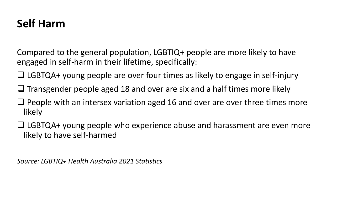#### **Self Harm**

Compared to the general population, LGBTIQ+ people are more likely to have engaged in self-harm in their lifetime, specifically:

- ❑ LGBTQA+ young people are over four times as likely to engage in self-injury
- ❑ Transgender people aged 18 and over are six and a half times more likely
- ❑ People with an intersex variation aged 16 and over are over three times more likely
- ❑ LGBTQA+ young people who experience abuse and harassment are even more likely to have self-harmed

*Source: LGBTIQ+ Health Australia 2021 Statistics*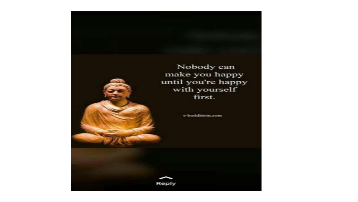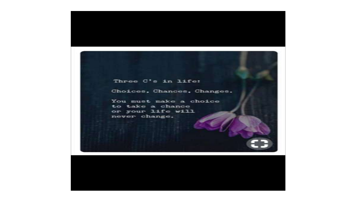Three C's in life:

Choices, Chances, Changes.

You must make a choice to take a chance or your life will never change.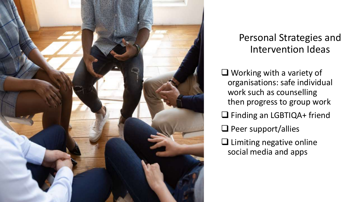

#### Personal Strategies and Intervention Ideas

❑ Working with a variety of organisations: safe individual work such as counselling then progress to group work ❑ Finding an LGBTIQA+ friend ❑ Peer support/allies ❑ Limiting negative online social media and apps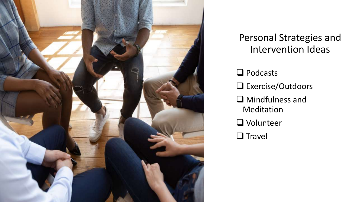

#### Personal Strategies and Intervention Ideas

- ❑ Podcasts ❑ Exercise/Outdoors ❑ Mindfulness and Meditation
- ❑ Volunteer
- ❑ Travel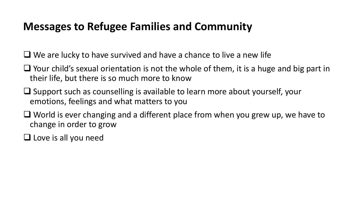#### **Messages to Refugee Families and Community**

 $\Box$  We are lucky to have survived and have a chance to live a new life

- ❑ Your child's sexual orientation is not the whole of them, it is a huge and big part in their life, but there is so much more to know
- ❑ Support such as counselling is available to learn more about yourself, your emotions, feelings and what matters to you
- ❑ World is ever changing and a different place from when you grew up, we have to change in order to grow

❑ Love is all you need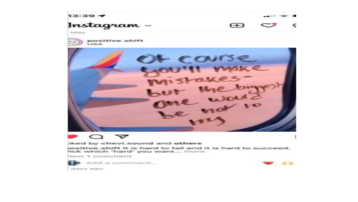



iked by chevi sound and others

ositive shift It is hard to fail and it is hard to succeed. lick which 'hard' you want... more

fiew 1 comment



Add a comment...



days acro.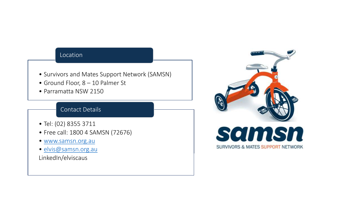#### Location

- Survivors and Mates Support Network (SAMSN)
- Ground Floor, 8 10 Palmer St
- Parramatta NSW 2150

#### Contact Details

- Tel: (02) 8355 3711
- Free call: 1800 4 SAMSN (72676)
- [www.samsn.org.au](http://www.samsn.org.au/)
- [elvis@samsn.org.au](mailto:intake@samsn.org.au)

LinkedIn/elviscaus



**SURVIVORS & MATES SUPPORT NETWORK**